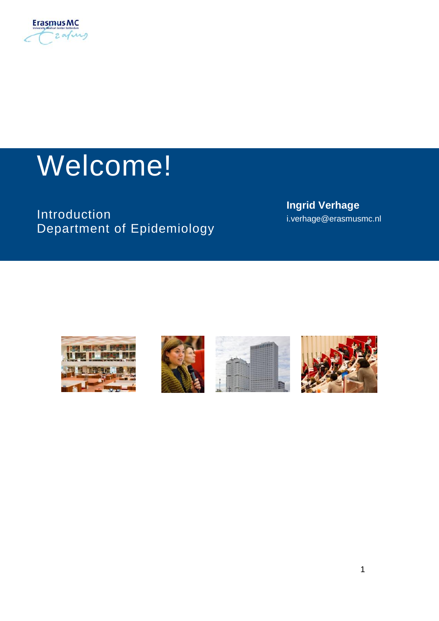

# Welcome!

Introduction Department of Epidemiology **Ingrid Verhage** i.verhage@erasmusmc.nl







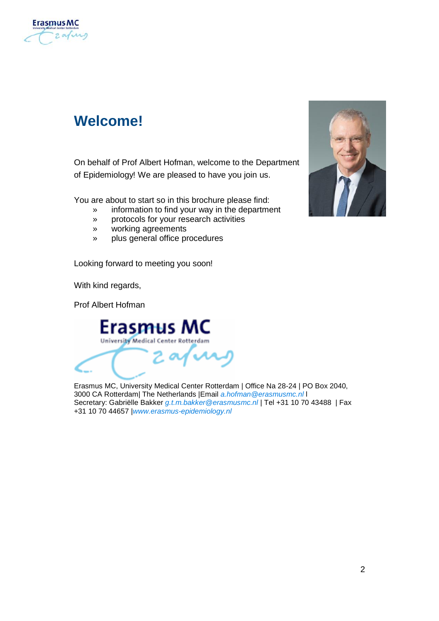

# <span id="page-1-0"></span>**Welcome!**

On behalf of Prof Albert Hofman, welcome to the Department of Epidemiology! We are pleased to have you join us.

You are about to start so in this brochure please find:

- » information to find your way in the department
- » protocols for your research activities
- » working agreements
- » plus general office procedures

Looking forward to meeting you soon!

With kind regards,

Prof Albert Hofman



Erasmus MC, University Medical Center Rotterdam | Office Na 28-24 | PO Box 2040, 3000 CA Rotterdam| The Netherlands |Email *[a.hofman@erasmusmc.nl](mailto:a.hofman@erasmusmc.nl%20l)* l Secretary: Gabriëlle Bakker *[g.t.m.bakker@erasmusmc.nl](mailto:Bakker%20g.t.m.bakker@erasmusmc.nl%20%7C%20Tel%20+31%2010%2070%2043488%20%20%7C%20Fax%20+31%2010%2070%2044657%20%7Chttp://www.epib.nl)* | Tel +31 10 70 43488 | Fax +31 10 70 44657 |*[www.erasmus-epidemiology.nl](mailto:Bakker%20g.t.m.bakker@erasmusmc.nl%20%7C%20Tel%20+31%2010%2070%2043488%20%20%7C%20Fax%20+31%2010%2070%2044657%20%7Chttp://www.epib.nl)*

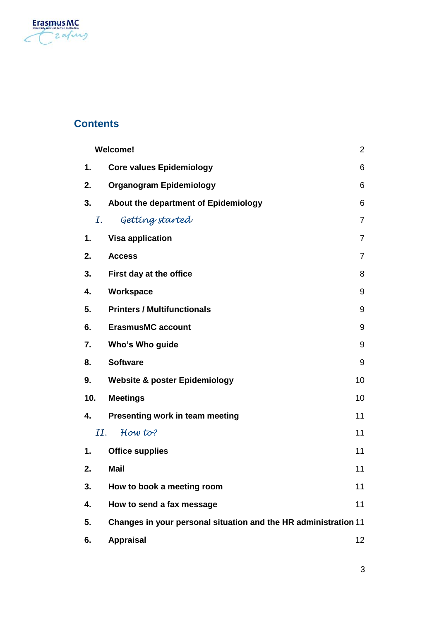

## **Contents**

|             | <b>Welcome!</b><br>2                                            |                |  |
|-------------|-----------------------------------------------------------------|----------------|--|
| 1.          | <b>Core values Epidemiology</b>                                 | 6              |  |
| 2.          | Organogram Epidemiology                                         | 6              |  |
| 3.          | About the department of Epidemiology                            | 6              |  |
| $I_{\cdot}$ | Getting started                                                 | $\overline{7}$ |  |
| 1.          | <b>Visa application</b>                                         | 7              |  |
| 2.          | <b>Access</b>                                                   | 7              |  |
| 3.          | First day at the office                                         | 8              |  |
| 4.          | Workspace                                                       | 9              |  |
| 5.          | <b>Printers / Multifunctionals</b>                              | 9              |  |
| 6.          | <b>ErasmusMC account</b>                                        | 9              |  |
| 7.          | Who's Who guide                                                 | 9              |  |
| 8.          | <b>Software</b>                                                 | 9              |  |
| 9.          | <b>Website &amp; poster Epidemiology</b><br>10                  |                |  |
| 10.         | <b>Meetings</b>                                                 | 10             |  |
| 4.          | Presenting work in team meeting                                 | 11             |  |
| II.         | How to?                                                         | 11             |  |
| 1.          | <b>Office supplies</b>                                          | 11             |  |
| 2.          | Mail                                                            | 11             |  |
| 3.          | How to book a meeting room                                      | 11             |  |
| 4.          | How to send a fax message                                       | 11             |  |
| 5.          | Changes in your personal situation and the HR administration 11 |                |  |
| 6.          | <b>Appraisal</b>                                                | 12             |  |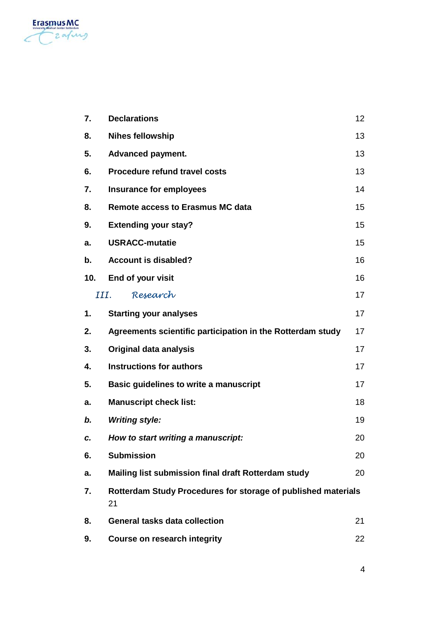

| 7.   | <b>Declarations</b>                                                 | 12 |  |
|------|---------------------------------------------------------------------|----|--|
| 8.   | <b>Nihes fellowship</b>                                             | 13 |  |
| 5.   | Advanced payment.                                                   | 13 |  |
| 6.   | <b>Procedure refund travel costs</b>                                | 13 |  |
| 7.   | Insurance for employees                                             | 14 |  |
| 8.   | <b>Remote access to Erasmus MC data</b><br>15                       |    |  |
| 9.   | <b>Extending your stay?</b>                                         | 15 |  |
| a.   | <b>USRACC-mutatie</b>                                               | 15 |  |
| b.   | <b>Account is disabled?</b>                                         | 16 |  |
| 10.  | End of your visit                                                   | 16 |  |
| III. | Research                                                            | 17 |  |
| 1.   | <b>Starting your analyses</b>                                       | 17 |  |
| 2.   | Agreements scientific participation in the Rotterdam study          | 17 |  |
| 3.   | Original data analysis                                              | 17 |  |
| 4.   | <b>Instructions for authors</b>                                     | 17 |  |
| 5.   | Basic quidelines to write a manuscript                              | 17 |  |
| a.   | <b>Manuscript check list:</b>                                       | 18 |  |
| b.   | <b>Writing style:</b>                                               | 19 |  |
| c.   | How to start writing a manuscript:                                  | 20 |  |
| 6.   | <b>Submission</b>                                                   | 20 |  |
| а.   | Mailing list submission final draft Rotterdam study                 | 20 |  |
| 7.   | Rotterdam Study Procedures for storage of published materials<br>21 |    |  |
| 8.   | General tasks data collection                                       | 21 |  |
| 9.   | Course on research integrity                                        | 22 |  |
|      |                                                                     |    |  |

4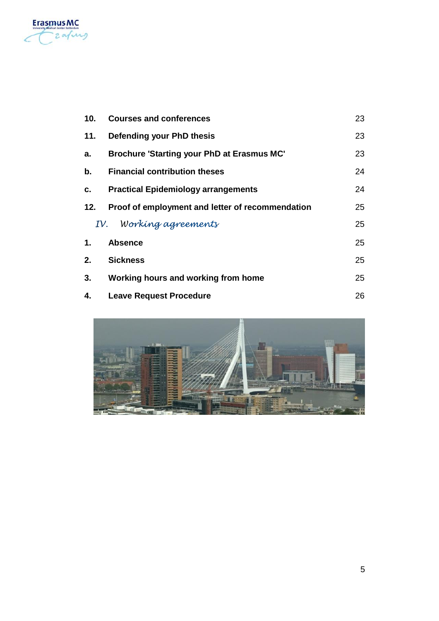

| 10. | <b>Courses and conferences</b><br>23             |    |  |
|-----|--------------------------------------------------|----|--|
| 11. | Defending your PhD thesis                        |    |  |
| a.  | Brochure 'Starting your PhD at Erasmus MC'       |    |  |
| b.  | <b>Financial contribution theses</b><br>24       |    |  |
| c.  | 24<br><b>Practical Epidemiology arrangements</b> |    |  |
| 12. | Proof of employment and letter of recommendation | 25 |  |
|     | IV. Working agreements                           | 25 |  |
| 1.  | <b>Absence</b>                                   | 25 |  |
| 2.  | <b>Sickness</b><br>25                            |    |  |
| 3.  | Working hours and working from home<br>25        |    |  |
| 4.  | 26<br><b>Leave Request Procedure</b>             |    |  |

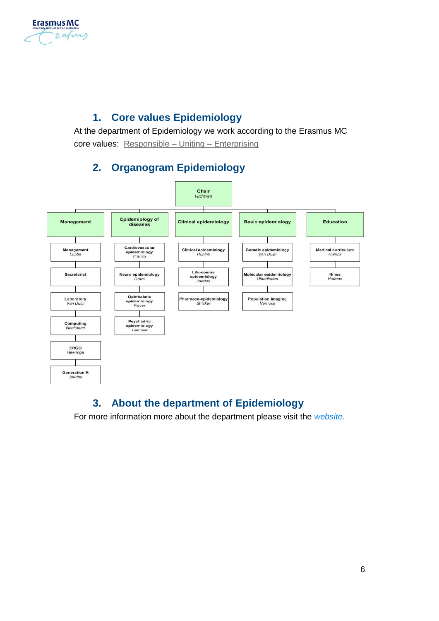

## **1. Core values Epidemiology**

<span id="page-5-0"></span>At the department of Epidemiology we work according to the Erasmus MC core values: [Responsible –](http://intranet.erasmusmc.nl/beleid/algemeen/4675519/?lang=en) Uniting – Enterprising

## <span id="page-5-1"></span>**2. Organogram Epidemiology**



## <span id="page-5-2"></span>**3. About the department of Epidemiology**

For more information more about the department please visit the *[website.](http://www.epib.nl/research/research.html)*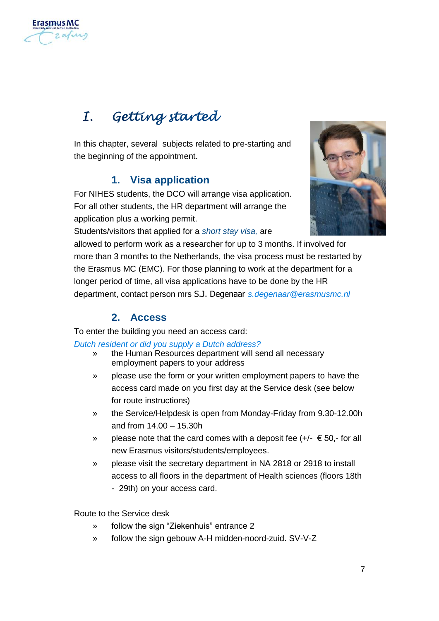

# <span id="page-6-0"></span>I. Getting started

<span id="page-6-1"></span>In this chapter, several subjects related to pre-starting and the beginning of the appointment.

### **1. Visa application**

For NIHES students, the DCO will arrange visa application. For all other students, the HR department will arrange the application plus a working permit.



Students/visitors that applied for a *short stay visa,* are

allowed to perform work as a researcher for up to 3 months. If involved for more than 3 months to the Netherlands, the visa process must be restarted by the Erasmus MC (EMC). For those planning to work at the department for a longer period of time, all visa applications have to be done by the HR department, contact person mrs S.J. Degenaar *[s.degenaar@erasmusmc.nl](mailto:s.degenaar@erasmusmc.nl)*

## **2. Access**

<span id="page-6-2"></span>To enter the building you need an access card:

*Dutch resident or did you supply a Dutch address?*

- the Human Resources department will send all necessary employment papers to your address
- » please use the form or your written employment papers to have the access card made on you first day at the Service desk (see below for route instructions)
- » the Service/Helpdesk is open from Monday-Friday from 9.30-12.00h and from 14.00 – 15.30h
- » please note that the card comes with a deposit fee  $(+/- \epsilon 50, -$  for all new Erasmus visitors/students/employees.
- » please visit the secretary department in NA 2818 or 2918 to install access to all floors in the department of Health sciences (floors 18th - 29th) on your access card.

Route to the Service desk

- » follow the sign "Ziekenhuis" entrance 2
- » follow the sign gebouw A-H midden-noord-zuid. SV-V-Z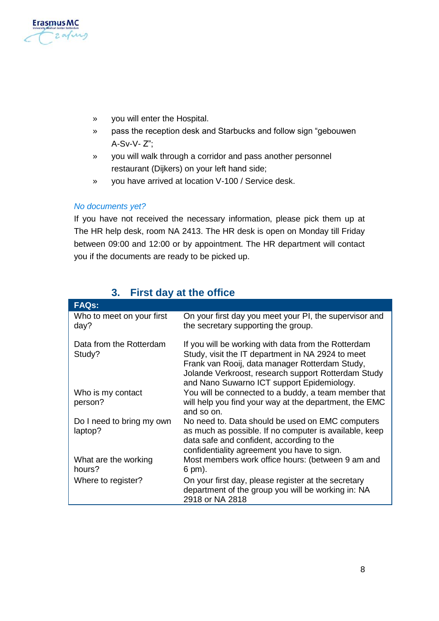

- » you will enter the Hospital.
- » pass the reception desk and Starbucks and follow sign "gebouwen A-Sv-V- Z";
- » you will walk through a corridor and pass another personnel restaurant (Dijkers) on your left hand side;
- » you have arrived at location V-100 / Service desk.

#### *No documents yet?*

If you have not received the necessary information, please pick them up at The HR help desk, room NA 2413. The HR desk is open on Monday till Friday between 09:00 and 12:00 or by appointment. The HR department will contact you if the documents are ready to be picked up.

<span id="page-7-0"></span>

| <b>FAQs:</b>                         |                                                                                                                                                                                                                                                                 |
|--------------------------------------|-----------------------------------------------------------------------------------------------------------------------------------------------------------------------------------------------------------------------------------------------------------------|
| Who to meet on your first<br>day?    | On your first day you meet your PI, the supervisor and<br>the secretary supporting the group.                                                                                                                                                                   |
| Data from the Rotterdam<br>Study?    | If you will be working with data from the Rotterdam<br>Study, visit the IT department in NA 2924 to meet<br>Frank van Rooij, data manager Rotterdam Study,<br>Jolande Verkroost, research support Rotterdam Study<br>and Nano Suwarno ICT support Epidemiology. |
| Who is my contact<br>person?         | You will be connected to a buddy, a team member that<br>will help you find your way at the department, the EMC<br>and so on.                                                                                                                                    |
| Do I need to bring my own<br>laptop? | No need to. Data should be used on EMC computers<br>as much as possible. If no computer is available, keep<br>data safe and confident, according to the<br>confidentiality agreement you have to sign.                                                          |
| What are the working<br>hours?       | Most members work office hours: (between 9 am and<br>6 pm).                                                                                                                                                                                                     |
| Where to register?                   | On your first day, please register at the secretary<br>department of the group you will be working in: NA<br>2918 or NA 2818                                                                                                                                    |

## **3. First day at the office**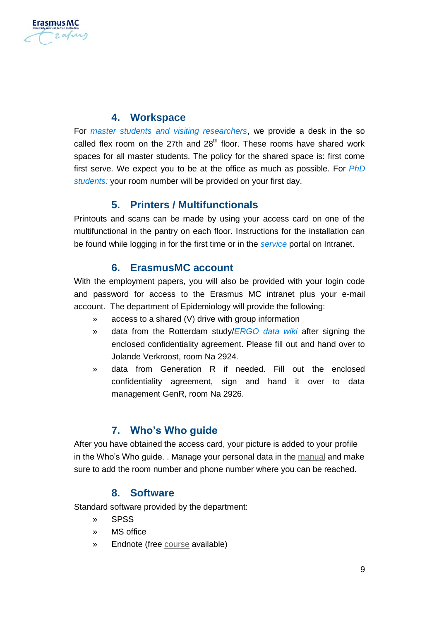

#### **4. Workspace**

<span id="page-8-0"></span>For *master students and visiting researchers*, we provide a desk in the so called flex room on the 27th and  $28<sup>th</sup>$  floor. These rooms have shared work spaces for all master students. The policy for the shared space is: first come first serve. We expect you to be at the office as much as possible. For *PhD students:* your room number will be provided on your first day.

#### **5. Printers / Multifunctionals**

<span id="page-8-1"></span>Printouts and scans can be made by using your access card on one of the multifunctional in the pantry on each floor. Instructions for the installation can be found while logging in for the first time or in the *[service](http://intranet.erasmusmc.nl/serviceportal/?view=Search_results&itemkey=4015331&freesearchso=multifunctional&socategory=A)* portal on Intranet.

#### **6. ErasmusMC account**

<span id="page-8-2"></span>With the employment papers, you will also be provided with your login code and password for access to the Erasmus MC intranet plus your e-mail account. The department of Epidemiology will provide the following:

- » access to a shared (V) drive with group information
- » data from the Rotterdam study/*ERGO [data wiki](https://epi-wiki.erasmusmc.nl/wiki))* after signing the enclosed confidentiality agreement. Please fill out and hand over to Jolande Verkroost, room Na 2924.
- » data from Generation R if needed. Fill out the enclosed confidentiality agreement, sign and hand it over to data management GenR, room Na 2926.

#### **7. Who's Who guide**

<span id="page-8-3"></span>After you have obtained the access card, your picture is added to your profile in the Who's Who guide. . Manage your personal data in the [manual](http://intranet.erasmusmc.nl/service_organisatie/3672646/3672660/3672666/Wijzigen_mijn_Erasmus_MC_Engels.pdf) and make sure to add the room number and phone number where you can be reached.

#### **8. Software**

<span id="page-8-4"></span>Standard software provided by the department:

- » SPSS
- » MS office
- » Endnote (fre[e course](http://intranet.erasmusmc.nl/medische_bibliotheek/hulpcursussen/Cursussen/4584123/?lang=en) available)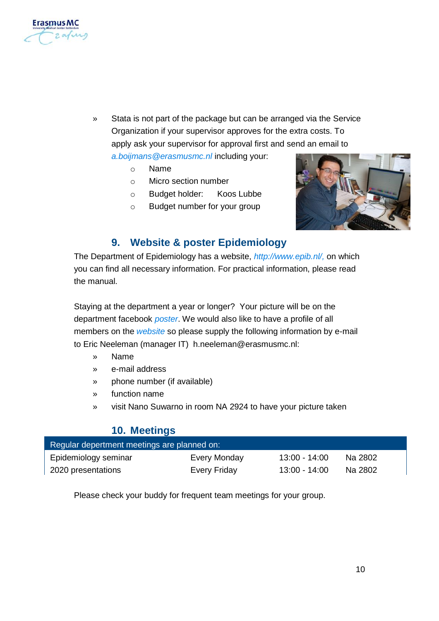

- Stata is not part of the package but can be arranged via the Service Organization if your supervisor approves for the extra costs. To apply ask your supervisor for approval first and send an email to *[a.boijmans@erasmusmc.nl](mailto:a.boijmans@erasmusmc.nl)* including your:
	- o Name
	- o Micro section number
	- o Budget holder: Koos Lubbe
	- o Budget number for your group



#### **9. Website & poster Epidemiology**

<span id="page-9-0"></span>The Department of Epidemiology has a website, *[http://www.epib.nl/,](http://www.epib.nl/)* on which you can find all necessary information. For practical information, please read the manual.

Staying at the department a year or longer? Your picture will be on the department facebook *poster*. We would also like to have a profile of all members on the *website* so please supply the following information by e-mail to Eric Neeleman (manager IT) h.neeleman@erasmusmc.nl:

- » Name
- » e-mail address
- » phone number (if available)
- » function name
- <span id="page-9-1"></span>» visit Nano Suwarno in room NA 2924 to have your picture taken

#### **10. Meetings**

| Regular depertment meetings are planned on: |              |                 |         |
|---------------------------------------------|--------------|-----------------|---------|
| Epidemiology seminar                        | Every Monday | 13:00 - 14:00   | Na 2802 |
| 2020 presentations                          | Every Friday | $13:00 - 14:00$ | Na 2802 |

Please check your buddy for frequent team meetings for your group.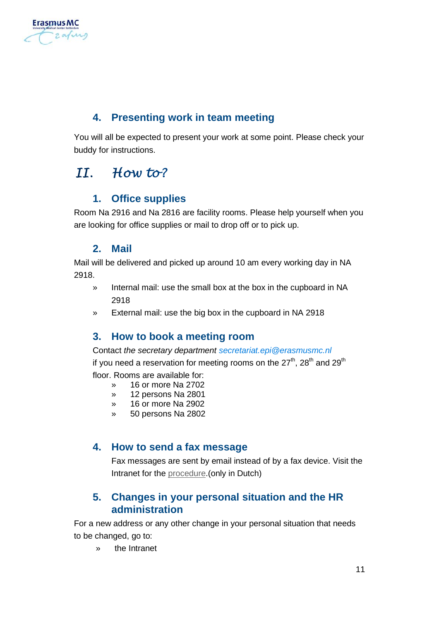

## **4. Presenting work in team meeting**

<span id="page-10-0"></span>You will all be expected to present your work at some point. Please check your buddy for instructions.

## <span id="page-10-2"></span><span id="page-10-1"></span> $II.$  How to?

### **1. Office supplies**

<span id="page-10-3"></span>Room Na 2916 and Na 2816 are facility rooms. Please help yourself when you are looking for office supplies or mail to drop off or to pick up.

### **2. Mail**

Mail will be delivered and picked up around 10 am every working day in NA 2918.

- » Internal mail: use the small box at the box in the cupboard in NA 2918
- <span id="page-10-4"></span>» External mail: use the big box in the cupboard in NA 2918

#### **3. How to book a meeting room**

Contact *[the](mailto:i.verhage@erasmusmc.nl) secretary department [secretariat.epi@erasmusmc.nl](mailto:secretariat.epi@erasmusmc.nl)*

if you need a reservation for meeting rooms on the 27<sup>th</sup>, 28<sup>th</sup> and 29<sup>th</sup> floor. Rooms are available for:

- » 16 or more Na 2702
- » 12 persons Na 2801
- » 16 or more Na 2902
- » 50 persons Na 2802

## <span id="page-10-5"></span>**4. How to send a fax message**

Fax messages are sent by email instead of by a fax device. Visit the Intranet for th[e procedure.](http://intranet.erasmusmc.nl/service_organisatie/3672777/3672804/3672810/3927048/4333869?hrefbm=http://intranet.erasmusmc.nl/service_organisatie/3672777/3672804/3672810/3927048/4333869&ik=3927057)(only in Dutch)

## <span id="page-10-6"></span>**5. Changes in your personal situation and the HR administration**

For a new address or any other change in your personal situation that needs to be changed, go to:

» the Intranet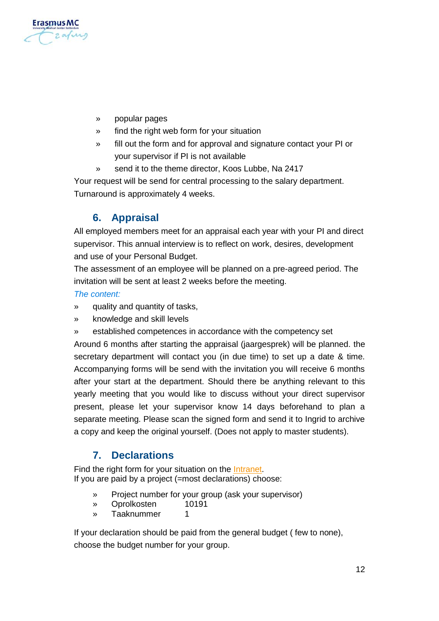

- » popular pages
- » find the right web form for your situation
- » fill out the form and for approval and signature contact your PI or your supervisor if PI is not available
- send it to the theme director, Koos Lubbe, Na 2417

<span id="page-11-0"></span>Your request will be send for central processing to the salary department. Turnaround is approximately 4 weeks.

## **6. Appraisal**

All employed members meet for an appraisal each year with your PI and direct supervisor. This annual interview is to reflect on work, desires, development and use of your Personal Budget.

The assessment of an employee will be planned on a pre-agreed period. The invitation will be sent at least 2 weeks before the meeting.

#### *The content:*

- quality and quantity of tasks.
- » knowledge and skill levels
- established competences in accordance with the competency set

Around 6 months after starting the appraisal (jaargesprek) will be planned. the secretary department will contact you (in due time) to set up a date & time. Accompanying forms will be send with the invitation you will receive 6 months after your start at the department. Should there be anything relevant to this yearly meeting that you would like to discuss without your direct supervisor present, please let your supervisor know 14 days beforehand to plan a separate meeting. Please scan the signed form and send it to Ingrid to archive a copy and keep the original yourself. (Does not apply to master students).

## <span id="page-11-1"></span>**7. Declarations**

Find the right form for your situation on the [Intranet.](http://intranet.erasmusmc.nl/formulieren/1726141/?lang=en) If you are paid by a project (=most declarations) choose:

- » Project number for your group (ask your supervisor)
- » Oprolkosten
- » Taaknummer 1

If your declaration should be paid from the general budget ( few to none), choose the budget number for your group.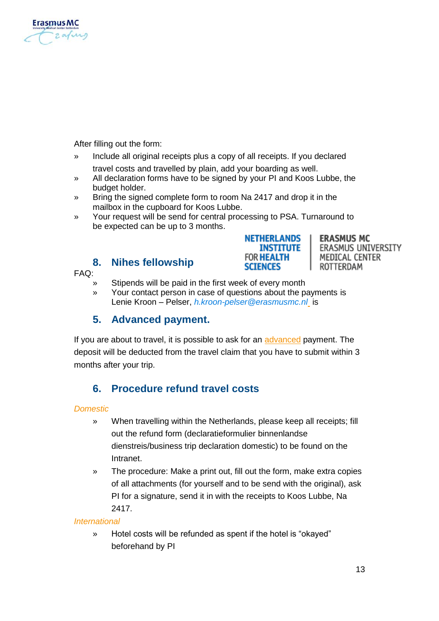

After filling out the form:

- » Include all original receipts plus a copy of all receipts. If you declared travel costs and travelled by plain, add your boarding as well.
- » All declaration forms have to be signed by your PI and Koos Lubbe, the budget holder.
- » Bring the signed complete form to room Na 2417 and drop it in the mailbox in the cupboard for Koos Lubbe.
- » Your request will be send for central processing to PSA. Turnaround to be expected can be up to 3 months.

**NETHERLANDS** 

**SCIENCES** 

**INSTITUTE FOR HEALTH** 

#### **8. [Nihes](http://nihes.nl/) fellowship**

#### <span id="page-12-0"></span> $FAO$

- Stipends will be paid in the first week of every month
- » Your contact person in case of questions about the payments is Lenie Kroon – Pelser, *[h.kroon-pelser@erasmusmc.nl](mailto:h.kroon-pelser@erasmusmc.nl)* is

#### <span id="page-12-1"></span>**5. Advanced payment.**

If you are about to travel, it is possible to ask for a[n advanced](http://intranet.erasmusmc.nl/formulieren/1726141/?lang=en) payment. The deposit will be deducted from the travel claim that you have to submit within 3 months after your trip.

## <span id="page-12-2"></span>**6. Procedure refund travel costs**

#### *Domestic*

- » When travelling within the Netherlands, please keep all receipts; fill out the refund form (declaratieformulier binnenlandse dienstreis/business trip declaration domestic) to be found on the Intranet.
- » The procedure: Make a print out, fill out the form, make extra copies of all attachments (for yourself and to be send with the original), ask PI for a signature, send it in with the receipts to Koos Lubbe, Na 2417.

#### *International*

» Hotel costs will be refunded as spent if the hotel is "okayed" beforehand by PI

**ERASMUS MC** 

ROTTERDAM

MEDICAL CENTER

ERASMUS UNIVERSITY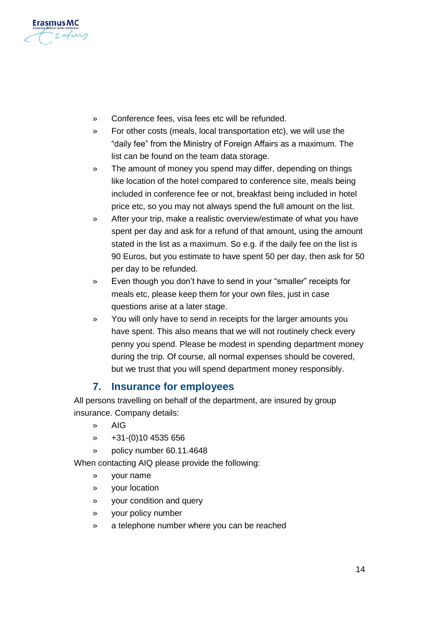

- » Conference fees, visa fees etc will be refunded.
- » For other costs (meals, local transportation etc), we will use the "daily fee" from the Ministry of Foreign Affairs as a maximum. The list can be found on the team data storage.
- » The amount of money you spend may differ, depending on things like location of the hotel compared to conference site, meals being included in conference fee or not, breakfast being included in hotel price etc, so you may not always spend the full amount on the list.
- » After your trip, make a realistic overview/estimate of what you have spent per day and ask for a refund of that amount, using the amount stated in the list as a maximum. So e.g. if the daily fee on the list is 90 Euros, but you estimate to have spent 50 per day, then ask for 50 per day to be refunded.
- » Even though you don't have to send in your "smaller" receipts for meals etc, please keep them for your own files, just in case questions arise at a later stage.
- » You will only have to send in receipts for the larger amounts you have spent. This also means that we will not routinely check every penny you spend. Please be modest in spending department money during the trip. Of course, all normal expenses should be covered, but we trust that you will spend department money responsibly.

#### **7. Insurance for employees**

<span id="page-13-0"></span>All persons travelling on behalf of the department, are insured by group insurance. Company details:

- » AIG
- » +31-(0)10 4535 656
- » policy number 60.11.4648

When contacting AIQ please provide the following:

- » your name
- » your location
- » your condition and query
- » your policy number
- » a telephone number where you can be reached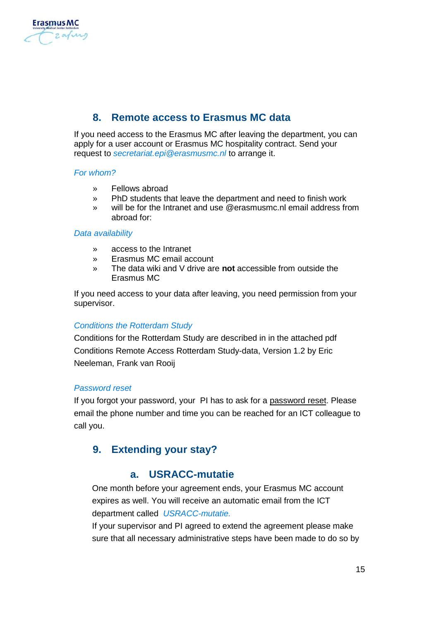

## **8. Remote access to Erasmus MC data**

<span id="page-14-0"></span>If you need access to the Erasmus MC after leaving the department, you can apply for a user account or Erasmus MC hospitality contract. Send your request to *[secretariat.epi@erasmusmc.nl](mailto:secretariat.epi@erasmusmc.nl)* to arrange it.

#### *For whom?*

- » Fellows abroad
- » PhD students that leave the department and need to finish work
- » will be for the Intranet and use @erasmusmc.nl email address from abroad for:

#### *Data availability*

- » access to the Intranet
- » Erasmus MC email account
- » The data wiki and V drive are **not** accessible from outside the Erasmus MC

If you need access to your data after leaving, you need permission from your supervisor.

#### *Conditions the Rotterdam Study*

Conditions for the Rotterdam Study are described in in the attached pdf Conditions Remote Access Rotterdam Study-data, Version 1.2 by Eric Neeleman, Frank van Rooij

#### *Password reset*

If you forgot your password, your PI has to ask for [a password](http://intranet.erasmusmc.nl/serviceportal/?view=Search_results&itemkey=4098739&freesearchso=wachtwoord) reset. Please email the phone number and time you can be reached for an ICT colleague to call you.

#### <span id="page-14-2"></span><span id="page-14-1"></span>**9. Extending your stay?**

#### **a. USRACC-mutatie**

One month before your agreement ends, your Erasmus MC account expires as well. You will receive an automatic email from the ICT department called *USRACC-mutatie.* 

If your supervisor and PI agreed to extend the agreement please make sure that all necessary administrative steps have been made to do so by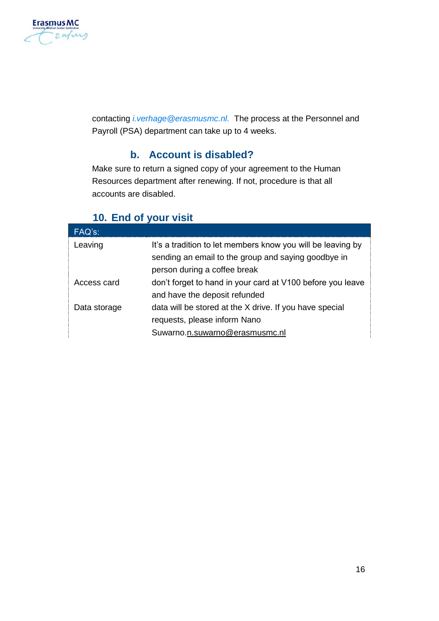

<span id="page-15-0"></span>contacting *[i.verhage@erasmusmc.nl.](mailto:i.verhage@erasmusmc.nl)* The process at the Personnel and Payroll (PSA) department can take up to 4 weeks.

## **b. Account is disabled?**

Make sure to return a signed copy of your agreement to the Human Resources department after renewing. If not, procedure is that all accounts are disabled.

## <span id="page-15-1"></span>**10. End of your visit**

| FAQ's:       |                                                                                                                                                    |
|--------------|----------------------------------------------------------------------------------------------------------------------------------------------------|
| Leaving      | It's a tradition to let members know you will be leaving by<br>sending an email to the group and saying goodbye in<br>person during a coffee break |
| Access card  | don't forget to hand in your card at V100 before you leave<br>and have the deposit refunded                                                        |
| Data storage | data will be stored at the X drive. If you have special<br>requests, please inform Nano<br>Suwarno.n.suwarno@erasmusmc.nl                          |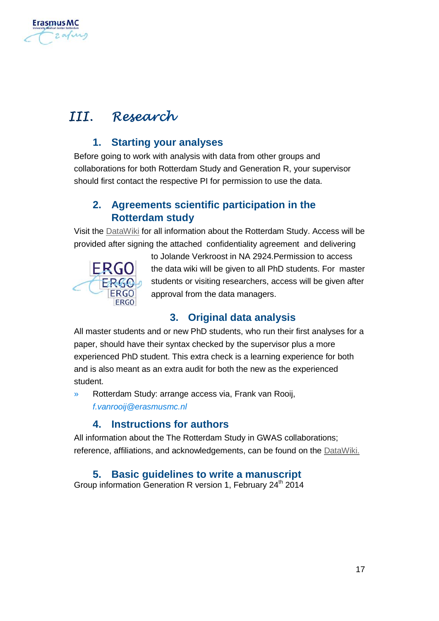

# <span id="page-16-1"></span><span id="page-16-0"></span>III. Research

## **1. Starting your analyses**

Before going to work with analysis with data from other groups and collaborations for both Rotterdam Study and Generation R, your supervisor should first contact the respective PI for permission to use the data.

## <span id="page-16-2"></span>**2. Agreements scientific participation in the Rotterdam study**

Visit th[e DataWiki](https://epi-wiki.erasmusmc.nl/wiki/ergowiki/index.php/DataWiki) for all information about the Rotterdam Study. Access will be provided after signing the attached confidentiality agreement and delivering



to Jolande Verkroost in NA 2924.Permission to access the data wiki will be given to all PhD students. For master students or visiting researchers, access will be given after approval from the data managers.

## <span id="page-16-3"></span>**3. Original data analysis**

All master students and or new PhD students, who run their first analyses for a paper, should have their syntax checked by the supervisor plus a more experienced PhD student. This extra check is a learning experience for both and is also meant as an extra audit for both the new as the experienced student.

» Rotterdam Study: arrange access via, Frank van Rooij, *[f.vanrooij@erasmusmc.nl](mailto:f.vanrooij@erasmusmc.nl)*

## **4. Instructions for authors**

<span id="page-16-5"></span><span id="page-16-4"></span>All information about the The Rotterdam Study in GWAS collaborations; reference, affiliations, and acknowledgements, can be found on th[e DataWiki.](https://epi-wiki.erasmusmc.nl/wiki/ergowiki/index.php/Instructions_for_authors#cite_ref-hofman2014_5-1)

## **5. Basic guidelines to write a manuscript**

Group information Generation R version 1, February  $24<sup>th</sup>$  2014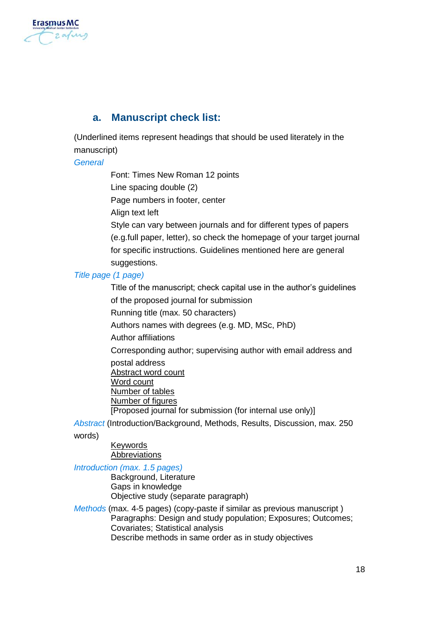

#### <span id="page-17-0"></span>**a. Manuscript check list:**

(Underlined items represent headings that should be used literately in the manuscript)

*General*

Font: Times New Roman 12 points

Line spacing double (2)

Page numbers in footer, center

Align text left

Style can vary between journals and for different types of papers (e.g.full paper, letter), so check the homepage of your target journal for specific instructions. Guidelines mentioned here are general suggestions.

#### *Title page (1 page)*

Title of the manuscript; check capital use in the author's guidelines of the proposed journal for submission Running title (max. 50 characters) Authors names with degrees (e.g. MD, MSc, PhD) Author affiliations Corresponding author; supervising author with email address and postal address Abstract word count Word count Number of tables Number of figures [Proposed journal for submission (for internal use only)]

*Abstract* (Introduction/Background, Methods, Results, Discussion, max. 250

words)

Keywords **Abbreviations** 

#### *Introduction (max. 1.5 pages)*

Background, Literature Gaps in knowledge Objective study (separate paragraph)

*Methods* (max. 4-5 pages) (copy-paste if similar as previous manuscript ) Paragraphs: Design and study population; Exposures; Outcomes; Covariates; Statistical analysis Describe methods in same order as in study objectives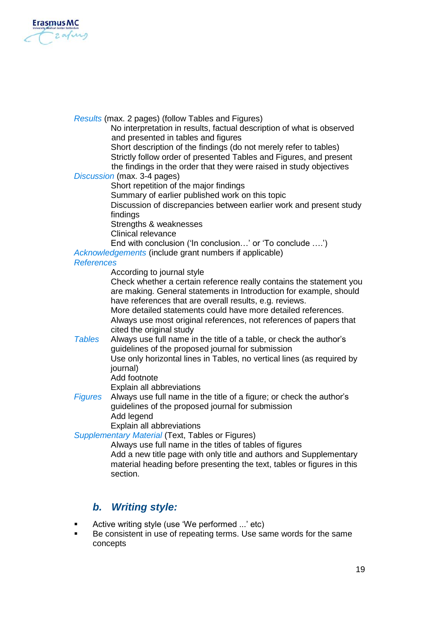

*Results* (max. 2 pages) (follow Tables and Figures)

No interpretation in results, factual description of what is observed and presented in tables and figures

Short description of the findings (do not merely refer to tables) Strictly follow order of presented Tables and Figures, and present the findings in the order that they were raised in study objectives

*Discussion* (max. 3-4 pages)

Short repetition of the major findings

Summary of earlier published work on this topic

Discussion of discrepancies between earlier work and present study findings

Strengths & weaknesses

Clinical relevance

End with conclusion ('In conclusion…' or 'To conclude ….')

*Acknowledgements* (include grant numbers if applicable)

#### *References*

According to journal style

Check whether a certain reference really contains the statement you are making. General statements in Introduction for example, should have references that are overall results, e.g. reviews.

More detailed statements could have more detailed references. Always use most original references, not references of papers that cited the original study

*Tables* Always use full name in the title of a table, or check the author's guidelines of the proposed journal for submission Use only horizontal lines in Tables, no vertical lines (as required by

journal)

Add footnote

Explain all abbreviations

*Figures* Always use full name in the title of a figure; or check the author's guidelines of the proposed journal for submission Add legend

Explain all abbreviations

*Supplementary Material* (Text, Tables or Figures)

Always use full name in the titles of tables of figures Add a new title page with only title and authors and Supplementary material heading before presenting the text, tables or figures in this section.

#### <span id="page-18-0"></span>*b. Writing style:*

- Active writing style (use 'We performed ...' etc)
- Be consistent in use of repeating terms. Use same words for the same concepts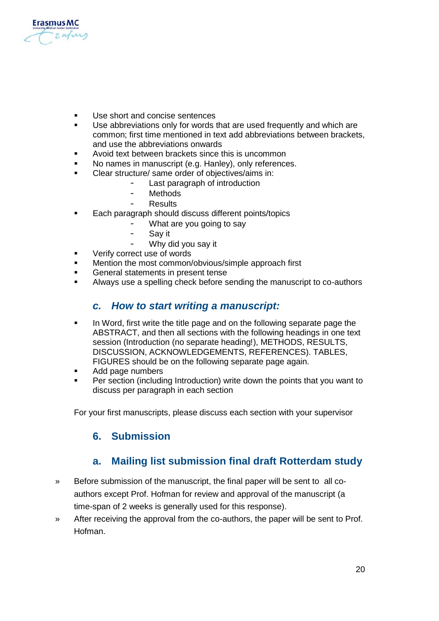

- Use short and concise sentences
- Use abbreviations only for words that are used frequently and which are common; first time mentioned in text add abbreviations between brackets, and use the abbreviations onwards
- Avoid text between brackets since this is uncommon
- No names in manuscript (e.g. Hanley), only references.
- Clear structure/ same order of objectives/aims in:
	- Last paragraph of introduction
	- Methods
	- **Results**
- **Each paragraph should discuss different points/topics** 
	- What are you going to say
	- Sav it
		- Why did you say it
- Verify correct use of words
- Mention the most common/obvious/simple approach first
- General statements in present tense
- <span id="page-19-0"></span>Always use a spelling check before sending the manuscript to co-authors

#### *c. How to start writing a manuscript:*

- In Word, first write the title page and on the following separate page the ABSTRACT, and then all sections with the following headings in one text session (Introduction (no separate heading!), METHODS, RESULTS, DISCUSSION, ACKNOWLEDGEMENTS, REFERENCES). TABLES, FIGURES should be on the following separate page again.
- Add page numbers
- Per section (including Introduction) write down the points that you want to discuss per paragraph in each section

<span id="page-19-1"></span>For your first manuscripts, please discuss each section with your supervisor

#### <span id="page-19-2"></span>**6. Submission**

#### **a. Mailing list submission final draft Rotterdam study**

- » Before submission of the manuscript, the final paper will be sent to all coauthors except Prof. Hofman for review and approval of the manuscript (a time-span of 2 weeks is generally used for this response).
- » After receiving the approval from the co-authors, the paper will be sent to Prof. Hofman.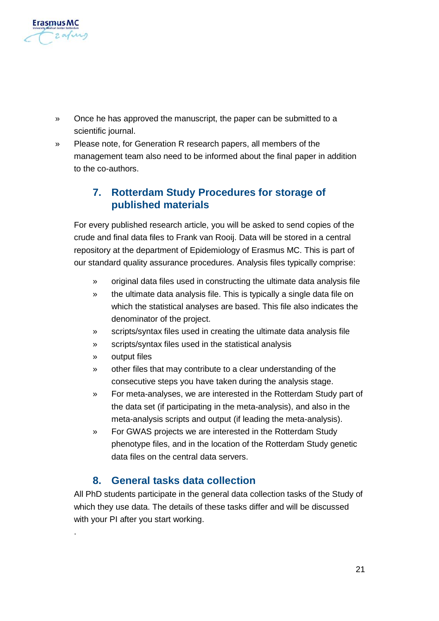

- » Once he has approved the manuscript, the paper can be submitted to a scientific journal.
- » Please note, for Generation R research papers, all members of the management team also need to be informed about the final paper in addition to the co-authors.

## <span id="page-20-0"></span>**7. Rotterdam Study Procedures for storage of published materials**

For every published research article, you will be asked to send copies of the crude and final data files to Frank van Rooij. Data will be stored in a central repository at the department of Epidemiology of Erasmus MC. This is part of our standard quality assurance procedures. Analysis files typically comprise:

- » original data files used in constructing the ultimate data analysis file
- » the ultimate data analysis file. This is typically a single data file on which the statistical analyses are based. This file also indicates the denominator of the project.
- » scripts/syntax files used in creating the ultimate data analysis file
- » scripts/syntax files used in the statistical analysis
- » output files

.

- » other files that may contribute to a clear understanding of the consecutive steps you have taken during the analysis stage.
- » For meta-analyses, we are interested in the Rotterdam Study part of the data set (if participating in the meta-analysis), and also in the meta-analysis scripts and output (if leading the meta-analysis).
- » For GWAS projects we are interested in the Rotterdam Study phenotype files, and in the location of the Rotterdam Study genetic data files on the central data servers.

#### **8. General tasks data collection**

<span id="page-20-1"></span>All PhD students participate in the general data collection tasks of the Study of which they use data. The details of these tasks differ and will be discussed with your PI after you start working.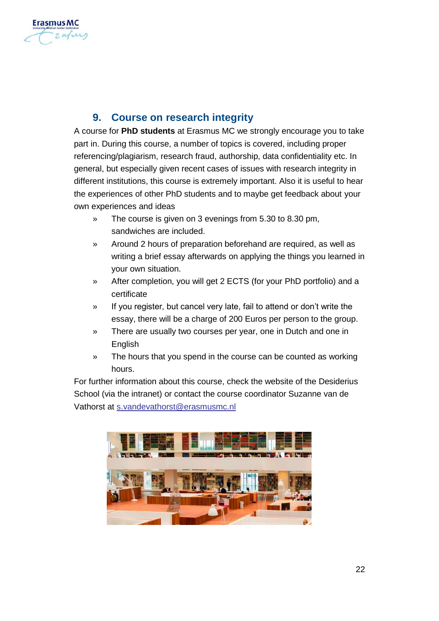

## **9. Course on research integrity**

<span id="page-21-0"></span>A course for **PhD students** at Erasmus MC we strongly encourage you to take part in. During this course, a number of topics is covered, including proper referencing/plagiarism, research fraud, authorship, data confidentiality etc. In general, but especially given recent cases of issues with research integrity in different institutions, this course is extremely important. Also it is useful to hear the experiences of other PhD students and to maybe get feedback about your own experiences and ideas

- » The course is given on 3 evenings from 5.30 to 8.30 pm, sandwiches are included.
- » Around 2 hours of preparation beforehand are required, as well as writing a brief essay afterwards on applying the things you learned in your own situation.
- » After completion, you will get 2 ECTS (for your PhD portfolio) and a certificate
- » If you register, but cancel very late, fail to attend or don't write the essay, there will be a charge of 200 Euros per person to the group.
- » There are usually two courses per year, one in Dutch and one in English
- » The hours that you spend in the course can be counted as working hours.

For further information about this course, check the website of the Desiderius School (via the intranet) or contact the course coordinator Suzanne van de Vathorst at [s.vandevathorst@erasmusmc.nl](mailto:s.vandevathorst@erasmusmc.nl)

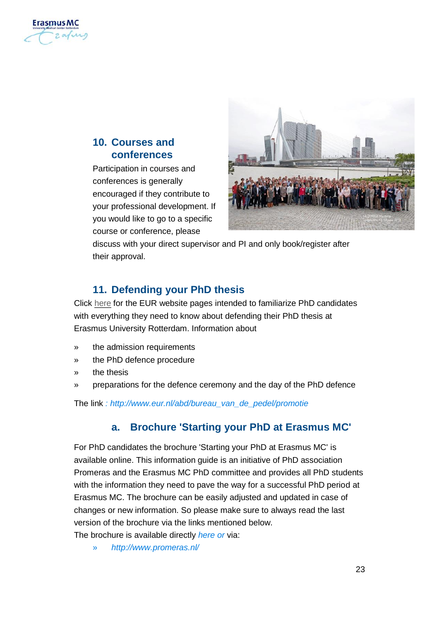

### <span id="page-22-0"></span>**10. Courses and conferences**

Participation in courses and conferences is generally encouraged if they contribute to your professional development. If you would like to go to a specific course or conference, please



discuss with your direct supervisor and PI and only book/register after their approval.

### <span id="page-22-1"></span>**11. Defending your PhD thesis**

Clic[k here](http://www.eur.nl/english/ab/beadles_office/phd_defence_ceremonies/) for the EUR website pages intended to familiarize PhD candidates with everything they need to know about defending their PhD thesis at Erasmus University Rotterdam. Information about

- the admission requirements
- the PhD defence procedure
- the thesis
- » preparations for the defence ceremony and the day of the PhD defence

<span id="page-22-2"></span>The link *[: http://www.eur.nl/abd/bureau\\_van\\_de\\_pedel/promotie](http://www.eur.nl/abd/bureau_van_de_pedel/promotie)*

#### **a. Brochure 'Starting your PhD at Erasmus MC'**

For PhD candidates the brochure 'Starting your PhD at Erasmus MC' is available online. This information guide is an initiative of PhD association Promeras and the Erasmus MC PhD committee and provides all PhD students with the information they need to pave the way for a successful PhD period at Erasmus MC. The brochure can be easily adjusted and updated in case of changes or new information. So please make sure to always read the last version of the brochure via the links mentioned below.

The brochure is available directly *[here](http://www.erasmusmc.nl/1172011/corp_home/2077843/2118934/Start_your_PhD.pdf) or* via:

» *<http://www.promeras.nl/>*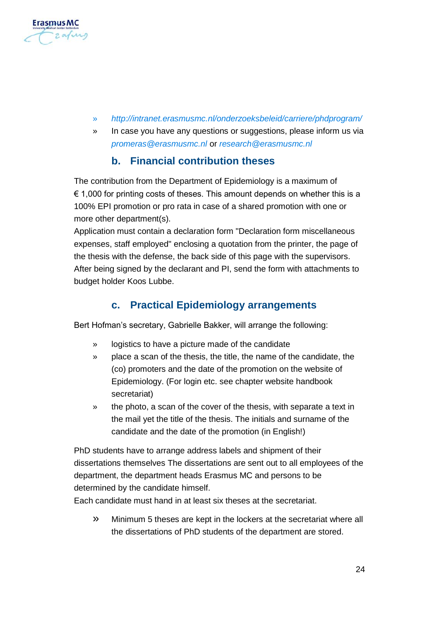

- » *<http://intranet.erasmusmc.nl/onderzoeksbeleid/carriere/phdprogram/>*
- » In case you have any questions or suggestions, please inform us via *[promeras@erasmusmc.nl](mailto:promeras@erasmusmc.nl)* or *[research@erasmusmc.nl](mailto:research@erasmusmc.nl)*

#### **b. Financial contribution theses**

<span id="page-23-0"></span>The contribution from the Department of Epidemiology is a maximum of  $\epsilon$  1,000 for printing costs of theses. This amount depends on whether this is a 100% EPI promotion or pro rata in case of a shared promotion with one or more other department(s).

Application must contain a declaration form "Declaration form miscellaneous expenses, staff employed" enclosing a quotation from the printer, the page of the thesis with the defense, the back side of this page with the supervisors. After being signed by the declarant and PI, send the form with attachments to budget holder Koos Lubbe.

#### **c. Practical Epidemiology arrangements**

<span id="page-23-1"></span>Bert Hofman's secretary, Gabrielle Bakker, will arrange the following:

- » logistics to have a picture made of the candidate
- » place a scan of the thesis, the title, the name of the candidate, the (co) promoters and the date of the promotion on the website of Epidemiology. (For login etc. see chapter website handbook secretariat)
- » the photo, a scan of the cover of the thesis, with separate a text in the mail yet the title of the thesis. The initials and surname of the candidate and the date of the promotion (in English!)

PhD students have to arrange address labels and shipment of their dissertations themselves The dissertations are sent out to all employees of the department, the department heads Erasmus MC and persons to be determined by the candidate himself.

Each candidate must hand in at least six theses at the secretariat.

» Minimum 5 theses are kept in the lockers at the secretariat where all the dissertations of PhD students of the department are stored.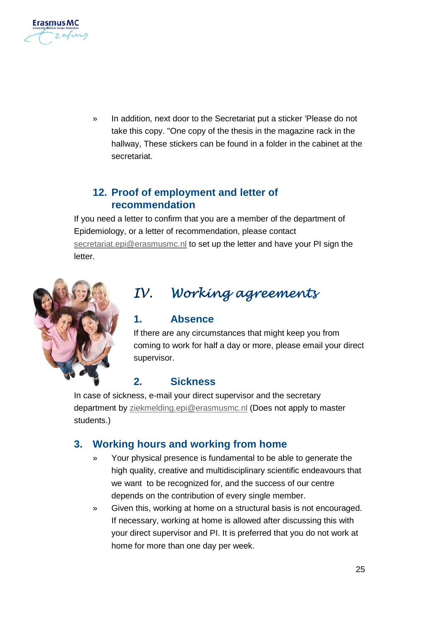

In addition, next door to the Secretariat put a sticker 'Please do not take this copy. "One copy of the thesis in the magazine rack in the hallway, These stickers can be found in a folder in the cabinet at the secretariat.

## <span id="page-24-0"></span>**12. Proof of employment and letter of recommendation**

If you need a letter to confirm that you are a member of the department of Epidemiology, or a letter of recommendation, please contact [secretariat.epi@erasmusmc.nl](mailto:secretariat.epi@erasmusmc.nl) to set up the letter and have your PI sign the letter.



# <span id="page-24-1"></span>IV. Working agreements

#### <span id="page-24-2"></span>**1. Absence**

If there are any circumstances that might keep you from coming to work for half a day or more, please email your direct supervisor.

## <span id="page-24-3"></span>**2. Sickness**

In case of sickness, e-mail your direct supervisor and the secretary department b[y ziekmelding.epi@erasmusmc.nl](mailto:ziekmelding.epi@erasmusmc.nl) (Does not apply to master students.)

## <span id="page-24-4"></span>**3. Working hours and working from home**

- Your physical presence is fundamental to be able to generate the high quality, creative and multidisciplinary scientific endeavours that we want to be recognized for, and the success of our centre depends on the contribution of every single member.
- » Given this, working at home on a structural basis is not encouraged. If necessary, working at home is allowed after discussing this with your direct supervisor and PI. It is preferred that you do not work at home for more than one day per week.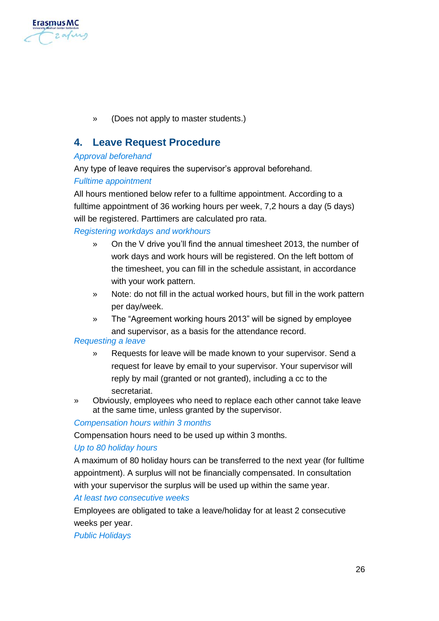

» (Does not apply to master students.)

#### <span id="page-25-0"></span>**4. Leave Request Procedure**

#### *Approval beforehand*

Any type of leave requires the supervisor's approval beforehand.

#### *Fulltime appointment*

All hours mentioned below refer to a fulltime appointment. According to a fulltime appointment of 36 working hours per week, 7,2 hours a day (5 days) will be registered. Parttimers are calculated pro rata.

#### *Registering workdays and workhours*

- » On the V drive you'll find the annual timesheet 2013, the number of work days and work hours will be registered. On the left bottom of the timesheet, you can fill in the schedule assistant, in accordance with your work pattern.
- » Note: do not fill in the actual worked hours, but fill in the work pattern per day/week.
- » The "Agreement working hours 2013" will be signed by employee and supervisor, as a basis for the attendance record.

#### *Requesting a leave*

- » Requests for leave will be made known to your supervisor. Send a request for leave by email to your supervisor. Your supervisor will reply by mail (granted or not granted), including a cc to the secretariat.
- » Obviously, employees who need to replace each other cannot take leave at the same time, unless granted by the supervisor.

#### *Compensation hours within 3 months*

Compensation hours need to be used up within 3 months.

#### *Up to 80 holiday hours*

A maximum of 80 holiday hours can be transferred to the next year (for fulltime appointment). A surplus will not be financially compensated. In consultation with your supervisor the surplus will be used up within the same year.

#### *At least two consecutive weeks*

Employees are obligated to take a leave/holiday for at least 2 consecutive weeks per year.

#### *Public Holidays*